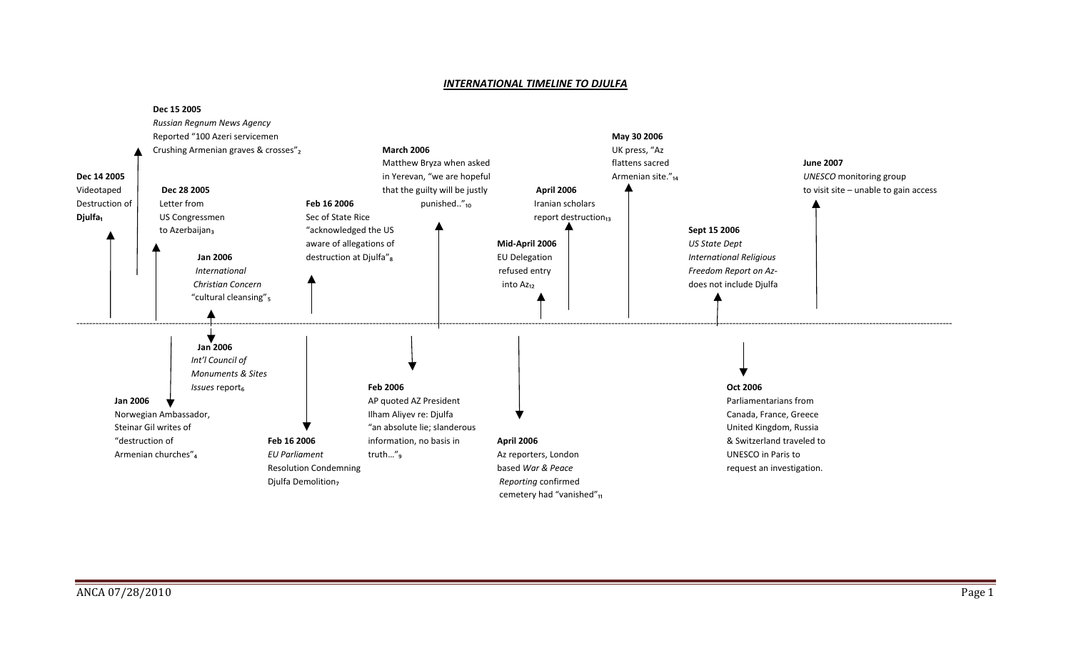## *INTERNATIONAL TIMELINE TO DJULFA*